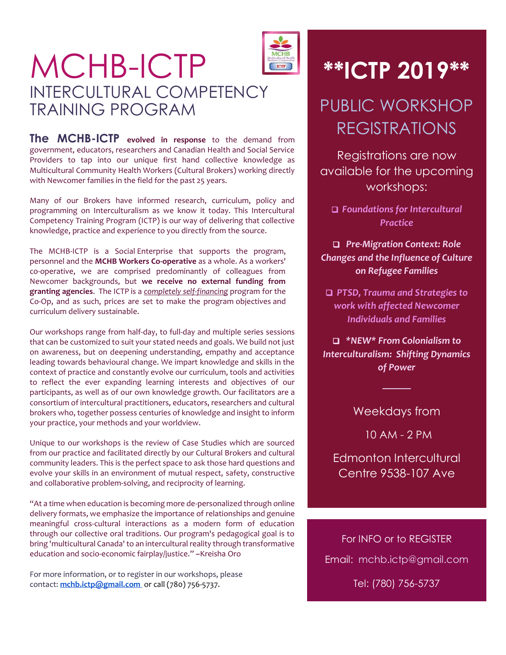## MCHB-ICTP INTERCULTURAL COMPETENCY TRAINING PROGRAM

**The MCHB-ICTP evolved in response** to the demand from government, educators, researchers and Canadian Health and Social Service Providers to tap into our unique first hand collective knowledge as Multicultural Community Health Workers (Cultural Brokers) working directly with Newcomer families in the field for the past 25 years.

Many of our Brokers have informed research, curriculum, policy and programming on Interculturalism as we know it today. This Intercultural Competency Training Program (ICTP) is our way of delivering that collective knowledge, practice and experience to you directly from the source.

The MCHB-ICTP is a Social Enterprise that supports the program, personnel and the **MCHB Workers Co-operative** as a whole. As a workers' co-operative, we are comprised predominantly of colleagues from Newcomer backgrounds, but **we receive no external funding from granting agencies**. The ICTP is a *completely self-financing* program for the Co-Op, and as such, prices are set to make the program objectives and curriculum delivery sustainable.

Our workshops range from half-day, to full-day and multiple series sessions that can be customized to suit your stated needs and goals. We build not just on awareness, but on deepening understanding, empathy and acceptance leading towards behavioural change. We impart knowledge and skills in the context of practice and constantly evolve our curriculum, tools and activities to reflect the ever expanding learning interests and objectives of our participants, as well as of our own knowledge growth. Our facilitators are a consortium of intercultural practitioners, educators, researchers and cultural brokers who, together possess centuries of knowledge and insight to inform your practice, your methods and your worldview.

Unique to our workshops is the review of Case Studies which are sourced from our practice and facilitated directly by our Cultural Brokers and cultural community leaders. This is the perfect space to ask those hard questions and evolve your skills in an environment of mutual respect, safety, constructive and collaborative problem-solving, and reciprocity of learning.

"At a time when education is becoming more de-personalized through online delivery formats, we emphasize the importance of relationships and genuine meaningful cross-cultural interactions as a modern form of education through our collective oral traditions. Our program's pedagogical goal is to bring 'multicultural Canada' to an intercultural reality through transformative education and socio-economic fairplay/justice." ~Kreisha Oro

For more information, or to register in our workshops, please contact: **[mchb.ictp@gmail.com](mailto:mchb.ictp@gmail.com)** or call (780) 756-5737.



# **\*\*ICTP 2019\*\***

## PUBLIC WORKSHOP REGISTRATIONS

Registrations are now available for the upcoming workshops:

 *Foundations for Intercultural Practice*

 *Pre-Migration Context: Role Changes and the Influence of Culture on Refugee Families*

 *PTSD, Trauma and Strategies to work with affected Newcomer Individuals and Families*

 *\*NEW\* From Colonialism to Interculturalism: Shifting Dynamics of Power*

Weekdays from

*────*

10 AM - 2 PM

Edmonton Intercultural Centre 9538-107 Ave

For INFO or to REGISTER Email: [mchb.ictp@gmail.com](mailto:mchb.ictp@gmail.com) Tel: (780) 756-5737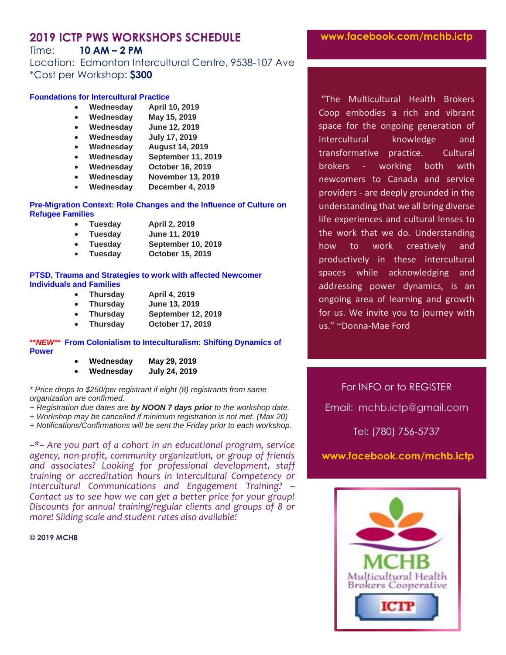## **2019 ICTP PWS WORKSHOPS SCHEDULE**

## Time: **10 AM – 2 PM**

Location: Edmonton Intercultural Centre, 9538-107 Ave \*Cost per Workshop: **\$300**

#### **Foundations for Intercultural Practice**

- **Wednesday April 10, 2019**
- **Wednesday May 15, 2019**
- **Wednesday June 12, 2019**
- **Wednesday July 17, 2019**
- **Wednesday August 14, 2019**
- **Wednesday September 11, 2019**
- **Wednesday October 16, 2019**
- **Wednesday November 13, 2019**
- **Wednesday December 4, 2019**

#### **Pre-Migration Context: Role Changes and the Influence of Culture on Refugee Families**

- **Tuesday April 2, 2019**
- **Tuesday June 11, 2019**
- **Tuesday September 10, 2019**
- **Tuesday October 15, 2019**

#### **PTSD, Trauma and Strategies to work with affected Newcomer Individuals and Families**

- **Thursday April 4, 2019**
- **Thursday June 13, 2019**
- **Thursday September 12, 2019**
- **Thursday October 17, 2019**

#### **\*\****NEW\*\** **From Colonialism to Inteculturalism: Shifting Dynamics of Power**

| Wednesday | May 29, 2019  |
|-----------|---------------|
| Wednesday | July 24, 2019 |

*\* Price drops to \$250/per registrant if eight (8) registrants from same organization are confirmed.*

*+ Registration due dates are by NOON 7 days prior to the workshop date.*

*+ Workshop may be cancelled if minimum registration is not met. (Max 20)*

*+ Notifications/Confirmations will be sent the Friday prior to each workshop.*

*~\*~ Are you part of a cohort in an educational program, service agency, non-profit, community organization, or group of friends and associates? Looking for professional development, staff training or accreditation hours in Intercultural Competency or Intercultural Communications and Engagement Training? ~ Contact us to see how we can get a better price for your group! Discounts for annual training/regular clients and groups of 8 or more! Sliding scale and student rates also available!*

#### **© 2019 MCHB**

**www.facebook.com/mchb.ictp**

"The Multicultural Health Brokers Coop embodies a rich and vibrant space for the ongoing generation of intercultural knowledge and transformative practice. Cultural brokers - working both with newcomers to Canada and service providers - are deeply grounded in the understanding that we all bring diverse life experiences and cultural lenses to the work that we do. Understanding how to work creatively and productively in these intercultural spaces while acknowledging and addressing power dynamics, is an ongoing area of learning and growth for us. We invite you to journey with us." ~Donna-Mae Ford

For INFO or to REGISTER Email: [mchb.ictp@gmail.com](mailto:mchb.ictp@gmail.com) Tel: (780) 756-5737

## **www.facebook.com/mchb.ictp**

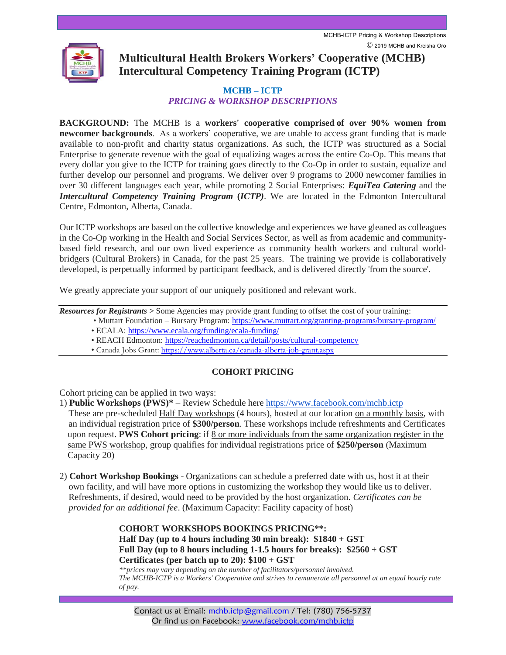

**Multicultural Health Brokers Workers' Cooperative (MCHB) Intercultural Competency Training Program (ICTP)**

### **MCHB – ICTP** *PRICING & WORKSHOP DESCRIPTIONS*

**BACKGROUND:** The MCHB is a **workers' cooperative comprised of over 90% women from newcomer backgrounds**. As a workers' cooperative, we are unable to access grant funding that is made available to non-profit and charity status organizations. As such, the ICTP was structured as a Social Enterprise to generate revenue with the goal of equalizing wages across the entire Co-Op. This means that every dollar you give to the ICTP for training goes directly to the Co-Op in order to sustain, equalize and further develop our personnel and programs. We deliver over 9 programs to 2000 newcomer families in over 30 different languages each year, while promoting 2 Social Enterprises: *EquiTea Catering* and the *Intercultural Competency Training Program* **(***ICTP)*. We are located in the Edmonton Intercultural Centre, Edmonton, Alberta, Canada.

Our ICTP workshops are based on the collective knowledge and experiences we have gleaned as colleagues in the Co-Op working in the Health and Social Services Sector, as well as from academic and communitybased field research, and our own lived experience as community health workers and cultural worldbridgers (Cultural Brokers) in Canada, for the past 25 years. The training we provide is collaboratively developed, is perpetually informed by participant feedback, and is delivered directly 'from the source'.

We greatly appreciate your support of our uniquely positioned and relevant work.

*Resources for Registrants >* Some Agencies may provide grant funding to offset the cost of your training:

- Muttart Foundation Bursary Program:<https://www.muttart.org/granting-programs/bursary-program/> • ECALA:<https://www.ecala.org/funding/ecala-funding/>
	- REACH Edmonton:<https://reachedmonton.ca/detail/posts/cultural-competency>
	- Canada Jobs Grant: <https://www.alberta.ca/canada-alberta-job-grant.aspx>

## **COHORT PRICING**

Cohort pricing can be applied in two ways:

- 1) **Public Workshops (PWS)\*** Review Schedule here https://www.facebook.com/mchb.ictp These are pre-scheduled Half Day workshops (4 hours), hosted at our location on a monthly basis, with an individual registration price of **\$300/person**. These workshops include refreshments and Certificates upon request. **PWS Cohort pricing**: if 8 or more individuals from the same organization register in the same PWS workshop, group qualifies for individual registrations price of **\$250/person** (Maximum Capacity 20)
- 2) **Cohort Workshop Bookings** Organizations can schedule a preferred date with us, host it at their own facility, and will have more options in customizing the workshop they would like us to deliver. Refreshments, if desired, would need to be provided by the host organization. *Certificates can be provided for an additional fee*. (Maximum Capacity: Facility capacity of host)

## **COHORT WORKSHOPS BOOKINGS PRICING\*\*: Half Day (up to 4 hours including 30 min break): \$1840 + GST Full Day (up to 8 hours including 1-1.5 hours for breaks): \$2560 + GST Certificates (per batch up to 20): \$100 + GST**

*\*\*prices may vary depending on the number of facilitators/personnel involved. The MCHB-ICTP is a Workers' Cooperative and strives to remunerate all personnel at an equal hourly rate of pay.*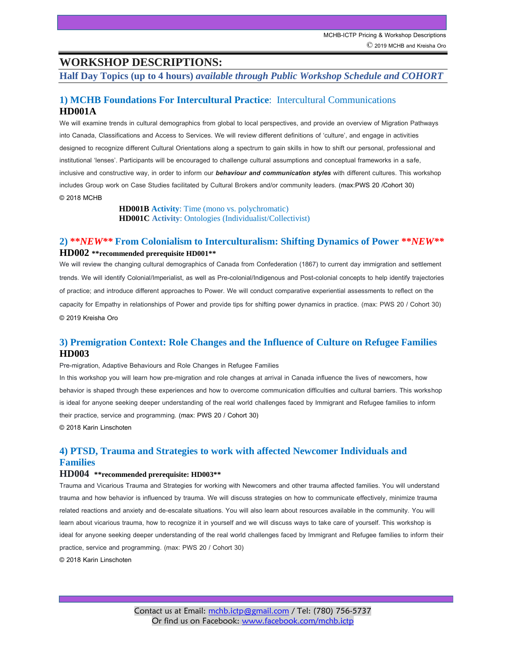## **WORKSHOP DESCRIPTIONS:**

**Half Day Topics (up to 4 hours)** *available through Public Workshop Schedule and COHORT*

## **1) MCHB Foundations For Intercultural Practice**: Intercultural Communications **HD001A**

We will examine trends in cultural demographics from global to local perspectives, and provide an overview of Migration Pathways into Canada, Classifications and Access to Services. We will review different definitions of 'culture', and engage in activities designed to recognize different Cultural Orientations along a spectrum to gain skills in how to shift our personal, professional and institutional 'lenses'. Participants will be encouraged to challenge cultural assumptions and conceptual frameworks in a safe, inclusive and constructive way, in order to inform our *behaviour and communication styles* with different cultures. This workshop includes Group work on Case Studies facilitated by Cultural Brokers and/or community leaders. (max:PWS 20 /Cohort 30) © 2018 MCHB

> **HD001B Activity**: Time (mono vs. polychromatic) **HD001C Activity**: Ontologies (Individualist/Collectivist)

## **2) \*\****NEW\*\** **From Colonialism to Interculturalism: Shifting Dynamics of Power \*\****NEW\*\** **HD002 \*\*recommended prerequisite HD001\*\***

We will review the changing cultural demographics of Canada from Confederation (1867) to current day immigration and settlement trends. We will identify Colonial/Imperialist, as well as Pre-colonial/Indigenous and Post-colonial concepts to help identify trajectories of practice; and introduce different approaches to Power. We will conduct comparative experiential assessments to reflect on the capacity for Empathy in relationships of Power and provide tips for shifting power dynamics in practice. (max: PWS 20 / Cohort 30) © 2019 Kreisha Oro

## **3) Premigration Context: Role Changes and the Influence of Culture on Refugee Families HD003**

Pre-migration, Adaptive Behaviours and Role Changes in Refugee Families

In this workshop you will learn how pre-migration and role changes at arrival in Canada influence the lives of newcomers, how behavior is shaped through these experiences and how to overcome communication difficulties and cultural barriers. This workshop is ideal for anyone seeking deeper understanding of the real world challenges faced by Immigrant and Refugee families to inform their practice, service and programming. (max: PWS 20 / Cohort 30) © 2018 Karin Linschoten

## **4) PTSD, Trauma and Strategies to work with affected Newcomer Individuals and Families**

#### **HD004 \*\*recommended prerequisite: HD003\*\***

Trauma and Vicarious Trauma and Strategies for working with Newcomers and other trauma affected families. You will understand trauma and how behavior is influenced by trauma. We will discuss strategies on how to communicate effectively, minimize trauma related reactions and anxiety and de-escalate situations. You will also learn about resources available in the community. You will learn about vicarious trauma, how to recognize it in yourself and we will discuss ways to take care of yourself. This workshop is ideal for anyone seeking deeper understanding of the real world challenges faced by Immigrant and Refugee families to inform their practice, service and programming. (max: PWS 20 / Cohort 30)

© 2018 Karin Linschoten